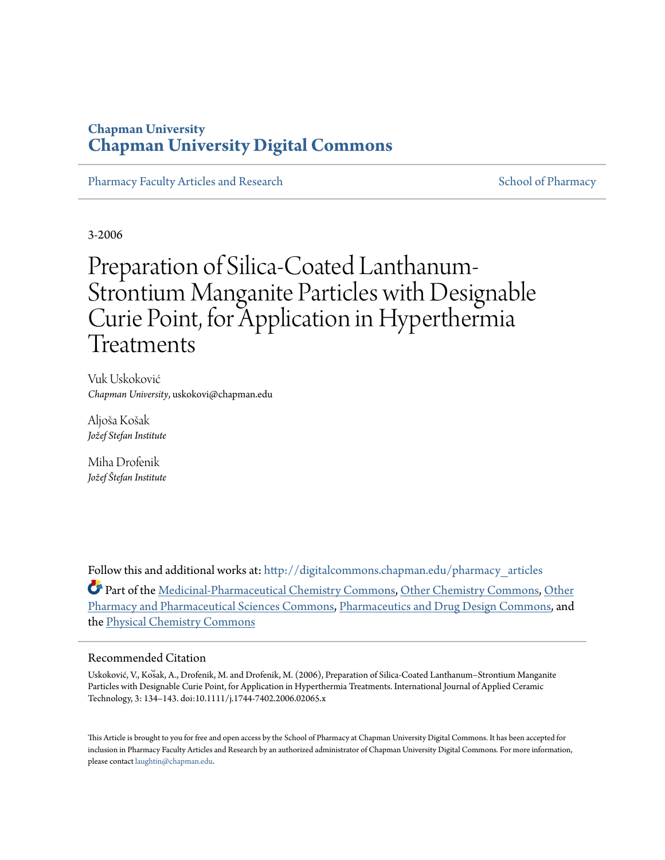## **Chapman University [Chapman University Digital Commons](http://digitalcommons.chapman.edu?utm_source=digitalcommons.chapman.edu%2Fpharmacy_articles%2F330&utm_medium=PDF&utm_campaign=PDFCoverPages)**

[Pharmacy Faculty Articles and Research](http://digitalcommons.chapman.edu/pharmacy_articles?utm_source=digitalcommons.chapman.edu%2Fpharmacy_articles%2F330&utm_medium=PDF&utm_campaign=PDFCoverPages) [School of Pharmacy](http://digitalcommons.chapman.edu/cusp?utm_source=digitalcommons.chapman.edu%2Fpharmacy_articles%2F330&utm_medium=PDF&utm_campaign=PDFCoverPages) School of Pharmacy

3-2006

# Preparation of Silica-Coated Lanthanum-Strontium Manganite Particles with Designable Curie Point, for Application in Hyperthermia Treatments

Vuk Uskoković *Chapman University*, uskokovi@chapman.edu

Aljoša Košak *Jožef Stefan Institute*

Miha Drofenik *Jožef Štefan Institute*

Follow this and additional works at: [http://digitalcommons.chapman.edu/pharmacy\\_articles](http://digitalcommons.chapman.edu/pharmacy_articles?utm_source=digitalcommons.chapman.edu%2Fpharmacy_articles%2F330&utm_medium=PDF&utm_campaign=PDFCoverPages) Part of the [Medicinal-Pharmaceutical Chemistry Commons](http://network.bepress.com/hgg/discipline/136?utm_source=digitalcommons.chapman.edu%2Fpharmacy_articles%2F330&utm_medium=PDF&utm_campaign=PDFCoverPages), [Other Chemistry Commons](http://network.bepress.com/hgg/discipline/141?utm_source=digitalcommons.chapman.edu%2Fpharmacy_articles%2F330&utm_medium=PDF&utm_campaign=PDFCoverPages), [Other](http://network.bepress.com/hgg/discipline/737?utm_source=digitalcommons.chapman.edu%2Fpharmacy_articles%2F330&utm_medium=PDF&utm_campaign=PDFCoverPages) [Pharmacy and Pharmaceutical Sciences Commons,](http://network.bepress.com/hgg/discipline/737?utm_source=digitalcommons.chapman.edu%2Fpharmacy_articles%2F330&utm_medium=PDF&utm_campaign=PDFCoverPages) [Pharmaceutics and Drug Design Commons](http://network.bepress.com/hgg/discipline/733?utm_source=digitalcommons.chapman.edu%2Fpharmacy_articles%2F330&utm_medium=PDF&utm_campaign=PDFCoverPages), and the [Physical Chemistry Commons](http://network.bepress.com/hgg/discipline/139?utm_source=digitalcommons.chapman.edu%2Fpharmacy_articles%2F330&utm_medium=PDF&utm_campaign=PDFCoverPages)

#### Recommended Citation

Uskoković, V., Kos̆ak, A., Drofenik, M. and Drofenik, M. (2006), Preparation of Silica-Coated Lanthanum–Strontium Manganite Particles with Designable Curie Point, for Application in Hyperthermia Treatments. International Journal of Applied Ceramic Technology, 3: 134–143. doi:10.1111/j.1744-7402.2006.02065.x

This Article is brought to you for free and open access by the School of Pharmacy at Chapman University Digital Commons. It has been accepted for inclusion in Pharmacy Faculty Articles and Research by an authorized administrator of Chapman University Digital Commons. For more information, please contact [laughtin@chapman.edu.](mailto:laughtin@chapman.edu)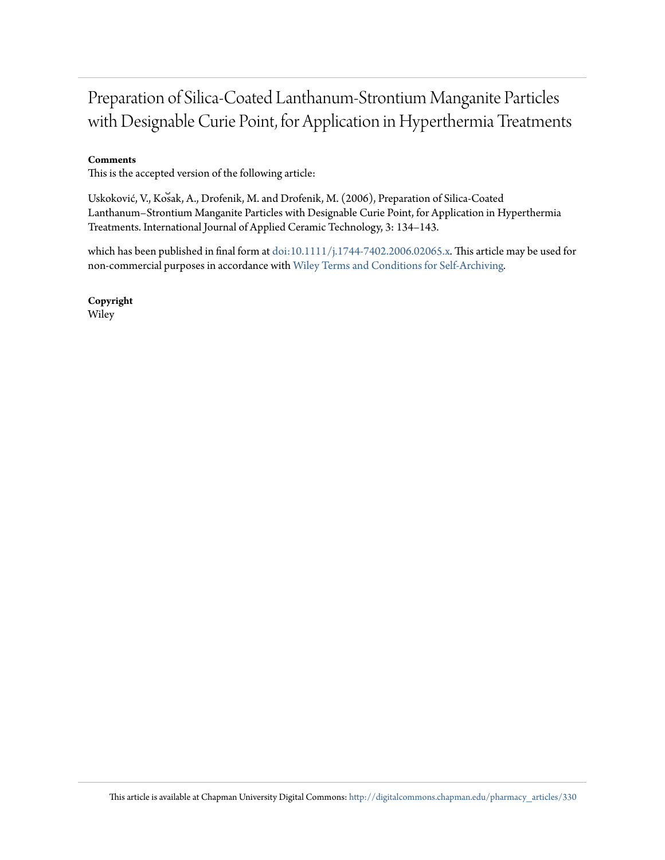## Preparation of Silica-Coated Lanthanum-Strontium Manganite Particles with Designable Curie Point, for Application in Hyperthermia Treatments

#### **Comments**

This is the accepted version of the following article:

Uskoković, V., Kos̆ak, A., Drofenik, M. and Drofenik, M. (2006), Preparation of Silica-Coated Lanthanum–Strontium Manganite Particles with Designable Curie Point, for Application in Hyperthermia Treatments. International Journal of Applied Ceramic Technology, 3: 134–143.

which has been published in final form at [doi:10.1111/j.1744-7402.2006.02065.x](http://dx.doi.org/10.1111/j.1744-7402.2006.02065.). This article may be used for non-commercial purposes in accordance with [Wiley Terms and Conditions for Self-Archiving](http://olabout.wiley.com/WileyCDA/Section/id-820227.html#terms)*.*

**Copyright** Wiley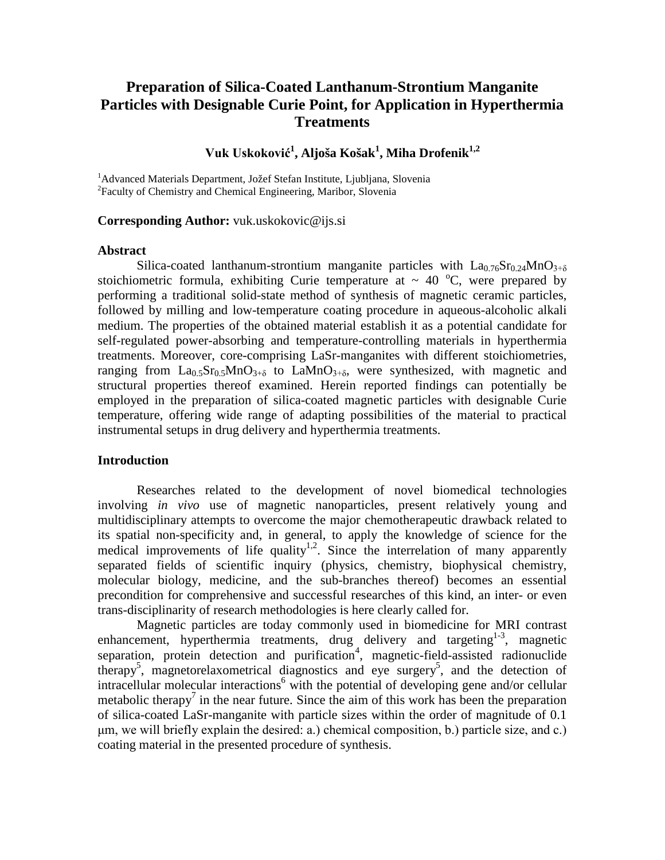## **Preparation of Silica-Coated Lanthanum-Strontium Manganite Particles with Designable Curie Point, for Application in Hyperthermia Treatments**

### **Vuk Uskoković<sup>1</sup> , Aljoša Košak<sup>1</sup> , Miha Drofenik1,2**

<sup>1</sup> Advanced Materials Department, Jožef Stefan Institute, Ljubljana, Slovenia<br><sup>2</sup> Feaulty of Chamistry and Chamisel Engineering, Mariber, Slovenia Faculty of Chemistry and Chemical Engineering, Maribor, Slovenia

#### **Corresponding Author:** vuk.uskokovic@ijs.si

#### **Abstract**

Silica-coated lanthanum-strontium manganite particles with  $La_{0.76}Sr_{0.24}MnO_{3+δ}$ stoichiometric formula, exhibiting Curie temperature at  $\sim 40$  °C, were prepared by performing a traditional solid-state method of synthesis of magnetic ceramic particles, followed by milling and low-temperature coating procedure in aqueous-alcoholic alkali medium. The properties of the obtained material establish it as a potential candidate for self-regulated power-absorbing and temperature-controlling materials in hyperthermia treatments. Moreover, core-comprising LaSr-manganites with different stoichiometries, ranging from  $La<sub>0.5</sub>Sr<sub>0.5</sub>MnO<sub>3+\delta</sub>$  to  $LaMnO<sub>3+\delta</sub>$ , were synthesized, with magnetic and structural properties thereof examined. Herein reported findings can potentially be employed in the preparation of silica-coated magnetic particles with designable Curie temperature, offering wide range of adapting possibilities of the material to practical instrumental setups in drug delivery and hyperthermia treatments.

#### **Introduction**

Researches related to the development of novel biomedical technologies involving *in vivo* use of magnetic nanoparticles, present relatively young and multidisciplinary attempts to overcome the major chemotherapeutic drawback related to its spatial non-specificity and, in general, to apply the knowledge of science for the medical improvements of life quality<sup>1,2</sup>. Since the interrelation of many apparently separated fields of scientific inquiry (physics, chemistry, biophysical chemistry, molecular biology, medicine, and the sub-branches thereof) becomes an essential precondition for comprehensive and successful researches of this kind, an inter- or even trans-disciplinarity of research methodologies is here clearly called for.

Magnetic particles are today commonly used in biomedicine for MRI contrast enhancement, hyperthermia treatments, drug delivery and targeting $1-3$ , magnetic separation, protein detection and purification<sup>4</sup>, magnetic-field-assisted radionuclide therapy<sup>5</sup>, magnetorelaxometrical diagnostics and eye surgery<sup>5</sup>, and the detection of intracellular molecular interactions<sup>6</sup> with the potential of developing gene and/or cellular metabolic therapy<sup>7</sup> in the near future. Since the aim of this work has been the preparation of silica-coated LaSr-manganite with particle sizes within the order of magnitude of 0.1 μm, we will briefly explain the desired: a.) chemical composition, b.) particle size, and c.) coating material in the presented procedure of synthesis.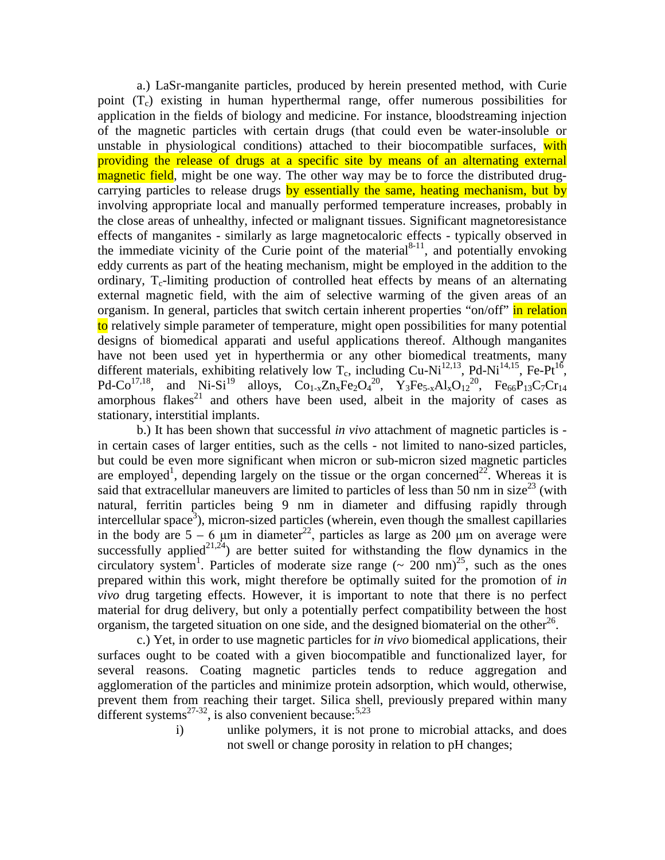a.) LaSr-manganite particles, produced by herein presented method, with Curie point  $(T_c)$  existing in human hyperthermal range, offer numerous possibilities for application in the fields of biology and medicine. For instance, bloodstreaming injection of the magnetic particles with certain drugs (that could even be water-insoluble or unstable in physiological conditions) attached to their biocompatible surfaces, with providing the release of drugs at a specific site by means of an alternating external magnetic field, might be one way. The other way may be to force the distributed drugcarrying particles to release drugs by essentially the same, heating mechanism, but by involving appropriate local and manually performed temperature increases, probably in the close areas of unhealthy, infected or malignant tissues. Significant magnetoresistance effects of manganites - similarly as large magnetocaloric effects - typically observed in the immediate vicinity of the Curie point of the material<sup>8-11</sup>, and potentially envoking eddy currents as part of the heating mechanism, might be employed in the addition to the ordinary,  $T_c$ -limiting production of controlled heat effects by means of an alternating external magnetic field, with the aim of selective warming of the given areas of an organism. In general, particles that switch certain inherent properties "on/off" in relation to relatively simple parameter of temperature, might open possibilities for many potential designs of biomedical apparati and useful applications thereof. Although manganites have not been used yet in hyperthermia or any other biomedical treatments, many different materials, exhibiting relatively low  $T_c$ , including Cu-Ni<sup>12,13</sup>, Pd-Ni<sup>14,15</sup>, Fe-Pt<sup>16</sup>, Pd-Co<sup>17,18</sup>, and Ni-Si<sup>19</sup> alloys, Co<sub>1-x</sub>Zn<sub>x</sub>Fe<sub>2</sub>O<sub>4</sub><sup>20</sup>, Y<sub>3</sub>Fe<sub>5-x</sub>Al<sub>x</sub>O<sub>12</sub><sup>20</sup>, Fe<sub>66</sub>P<sub>13</sub>C<sub>7</sub>Cr<sub>14</sub> amorphous flakes $21$  and others have been used, albeit in the majority of cases as stationary, interstitial implants.

b.) It has been shown that successful *in vivo* attachment of magnetic particles is in certain cases of larger entities, such as the cells - not limited to nano-sized particles, but could be even more significant when micron or sub-micron sized magnetic particles are employed<sup>1</sup>, depending largely on the tissue or the organ concerned<sup>22</sup>. Whereas it is said that extracellular maneuvers are limited to particles of less than 50 nm in size<sup>23</sup> (with natural, ferritin particles being 9 nm in diameter and diffusing rapidly through intercellular space<sup>3</sup>), micron-sized particles (wherein, even though the smallest capillaries in the body are  $5 - 6$  μm in diameter<sup>22</sup>, particles as large as 200 μm on average were successfully applied<sup>21,24</sup>) are better suited for withstanding the flow dynamics in the circulatory system<sup>1</sup>. Particles of moderate size range  $(\sim 200 \text{ nm})^{25}$ , such as the ones prepared within this work, might therefore be optimally suited for the promotion of *in vivo* drug targeting effects. However, it is important to note that there is no perfect material for drug delivery, but only a potentially perfect compatibility between the host organism, the targeted situation on one side, and the designed biomaterial on the other<sup>26</sup>.

c.) Yet, in order to use magnetic particles for *in vivo* biomedical applications, their surfaces ought to be coated with a given biocompatible and functionalized layer, for several reasons. Coating magnetic particles tends to reduce aggregation and agglomeration of the particles and minimize protein adsorption, which would, otherwise, prevent them from reaching their target. Silica shell, previously prepared within many different systems<sup>27-32</sup>, is also convenient because:<sup>5,23</sup>

i) unlike polymers, it is not prone to microbial attacks, and does not swell or change porosity in relation to pH changes;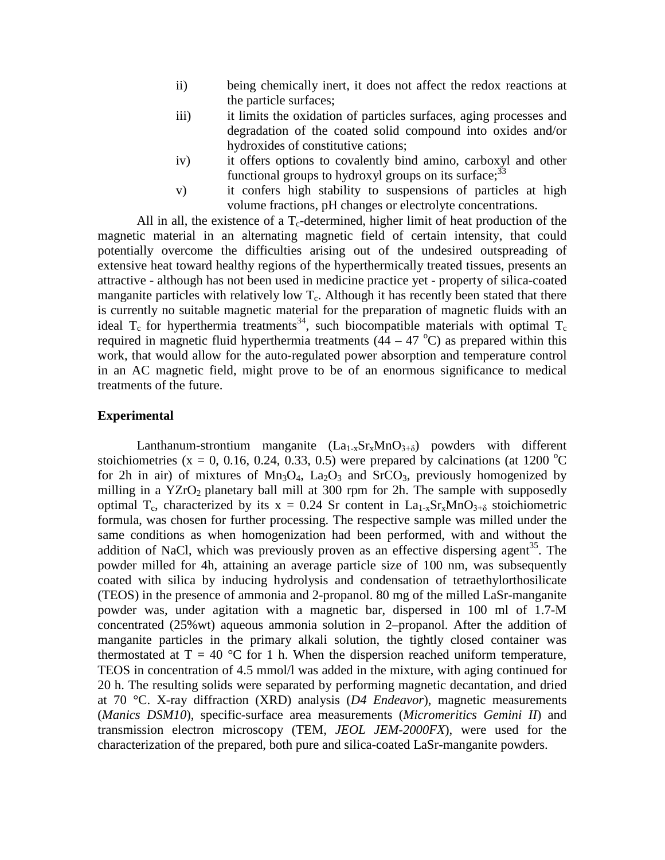- ii) being chemically inert, it does not affect the redox reactions at the particle surfaces;
- iii) it limits the oxidation of particles surfaces, aging processes and degradation of the coated solid compound into oxides and/or hydroxides of constitutive cations;
- iv) it offers options to covalently bind amino, carboxyl and other functional groups to hydroxyl groups on its surface;  $33$
- v) it confers high stability to suspensions of particles at high volume fractions, pH changes or electrolyte concentrations.

All in all, the existence of a  $T_c$ -determined, higher limit of heat production of the magnetic material in an alternating magnetic field of certain intensity, that could potentially overcome the difficulties arising out of the undesired outspreading of extensive heat toward healthy regions of the hyperthermically treated tissues, presents an attractive - although has not been used in medicine practice yet - property of silica-coated manganite particles with relatively low  $T_c$ . Although it has recently been stated that there is currently no suitable magnetic material for the preparation of magnetic fluids with an ideal  $T_c$  for hyperthermia treatments<sup>34</sup>, such biocompatible materials with optimal  $T_c$ required in magnetic fluid hyperthermia treatments  $(44 - 47 \degree C)$  as prepared within this work, that would allow for the auto-regulated power absorption and temperature control in an AC magnetic field, might prove to be of an enormous significance to medical treatments of the future.

#### **Experimental**

Lanthanum-strontium manganite  $(La_{1-x}Sr_xMnO_{3+\delta})$  powders with different stoichiometries (x = 0, 0.16, 0.24, 0.33, 0.5) were prepared by calcinations (at 1200 °C for 2h in air) of mixtures of  $Mn_3O_4$ ,  $La_2O_3$  and  $SrCO_3$ , previously homogenized by milling in a YZrO<sub>2</sub> planetary ball mill at 300 rpm for 2h. The sample with supposedly optimal T<sub>c</sub>, characterized by its  $x = 0.24$  Sr content in La<sub>1-x</sub>Sr<sub>x</sub>MnO<sub>3+ $\delta$ </sub> stoichiometric formula, was chosen for further processing. The respective sample was milled under the same conditions as when homogenization had been performed, with and without the addition of NaCl, which was previously proven as an effective dispersing agent<sup>35</sup>. The powder milled for 4h, attaining an average particle size of 100 nm, was subsequently coated with silica by inducing hydrolysis and condensation of tetraethylorthosilicate (TEOS) in the presence of ammonia and 2-propanol. 80 mg of the milled LaSr-manganite powder was, under agitation with a magnetic bar, dispersed in 100 ml of 1.7-M concentrated (25%wt) aqueous ammonia solution in 2–propanol. After the addition of manganite particles in the primary alkali solution, the tightly closed container was thermostated at  $T = 40$  °C for 1 h. When the dispersion reached uniform temperature, TEOS in concentration of 4.5 mmol/l was added in the mixture, with aging continued for 20 h. The resulting solids were separated by performing magnetic decantation, and dried at 70 °C. X-ray diffraction (XRD) analysis (*D4 Endeavor*), magnetic measurements (*Manics DSM10*), specific-surface area measurements (*Micromeritics Gemini II*) and transmission electron microscopy (TEM, *JEOL JEM-2000FX*), were used for the characterization of the prepared, both pure and silica-coated LaSr-manganite powders.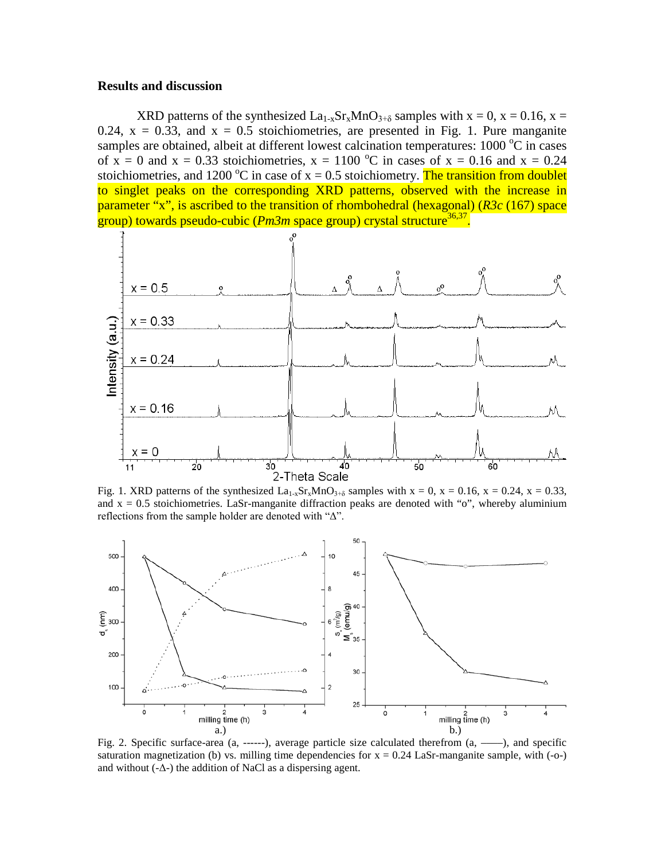#### **Results and discussion**

XRD patterns of the synthesized  $La_{1-x}Sr_xMnO_{3+\delta}$  samples with  $x = 0$ ,  $x = 0.16$ ,  $x =$ 0.24,  $x = 0.33$ , and  $x = 0.5$  stoichiometries, are presented in Fig. 1. Pure manganite samples are obtained, albeit at different lowest calcination temperatures:  $1000 °C$  in cases of  $x = 0$  and  $x = 0.33$  stoichiometries,  $x = 1100$  °C in cases of  $x = 0.16$  and  $x = 0.24$ stoichiometries, and 1200 °C in case of  $x = 0.5$  stoichiometry. The transition from doublet to singlet peaks on the corresponding XRD patterns, observed with the increase in parameter "x", is ascribed to the transition of rhombohedral (hexagonal) (*R3c* (167) space group) towards pseudo-cubic (*Pm3m* space group) crystal structure<sup>36,37</sup>.



Fig. 1. XRD patterns of the synthesized La<sub>1-x</sub>Sr<sub>x</sub>MnO<sub>3+δ</sub> samples with x = 0, x = 0.16, x = 0.24, x = 0.33, and  $x = 0.5$  stoichiometries. LaSr-manganite diffraction peaks are denoted with "o", whereby aluminium reflections from the sample holder are denoted with "Δ".



Fig. 2. Specific surface-area (a, ------), average particle size calculated therefrom (a, ––––), and specific saturation magnetization (b) vs. milling time dependencies for  $x = 0.24$  LaSr-manganite sample, with (-o-) and without  $(-\Delta)$  the addition of NaCl as a dispersing agent.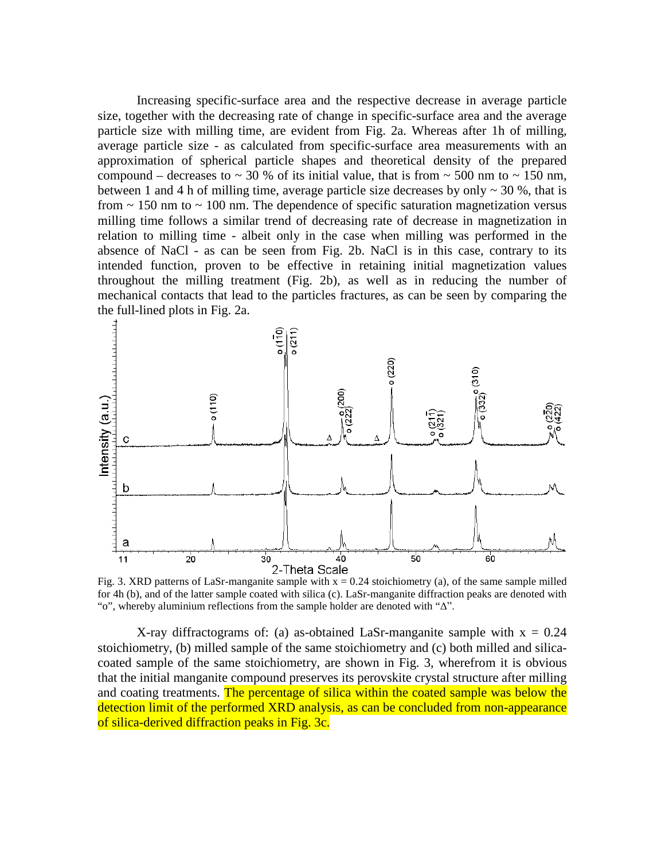Increasing specific-surface area and the respective decrease in average particle size, together with the decreasing rate of change in specific-surface area and the average particle size with milling time, are evident from Fig. 2a. Whereas after 1h of milling, average particle size - as calculated from specific-surface area measurements with an approximation of spherical particle shapes and theoretical density of the prepared compound – decreases to  $\sim$  30 % of its initial value, that is from  $\sim$  500 nm to  $\sim$  150 nm, between 1 and 4 h of milling time, average particle size decreases by only  $\sim$  30 %, that is from  $\sim$  150 nm to  $\sim$  100 nm. The dependence of specific saturation magnetization versus milling time follows a similar trend of decreasing rate of decrease in magnetization in relation to milling time - albeit only in the case when milling was performed in the absence of NaCl - as can be seen from Fig. 2b. NaCl is in this case, contrary to its intended function, proven to be effective in retaining initial magnetization values throughout the milling treatment (Fig. 2b), as well as in reducing the number of mechanical contacts that lead to the particles fractures, as can be seen by comparing the the full-lined plots in Fig. 2a.



Fig. 3. XRD patterns of LaSr-manganite sample with  $x = 0.24$  stoichiometry (a), of the same sample milled for 4h (b), and of the latter sample coated with silica (c). LaSr-manganite diffraction peaks are denoted with "o", whereby aluminium reflections from the sample holder are denoted with "Δ".

X-ray diffractograms of: (a) as-obtained LaSr-manganite sample with  $x = 0.24$ stoichiometry, (b) milled sample of the same stoichiometry and (c) both milled and silicacoated sample of the same stoichiometry, are shown in Fig. 3, wherefrom it is obvious that the initial manganite compound preserves its perovskite crystal structure after milling and coating treatments. The percentage of silica within the coated sample was below the detection limit of the performed XRD analysis, as can be concluded from non-appearance of silica-derived diffraction peaks in Fig. 3c.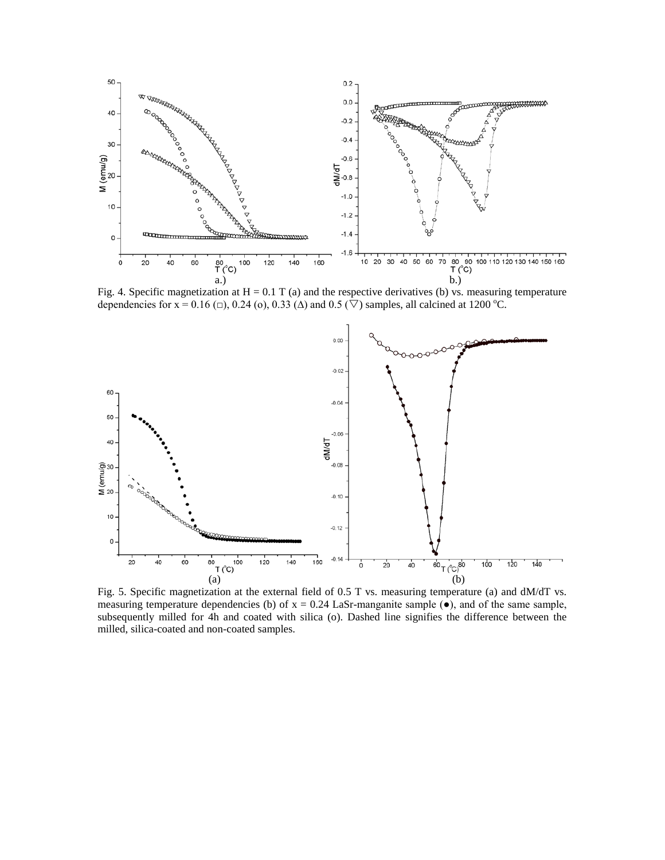

Fig. 4. Specific magnetization at  $H = 0.1 T$  (a) and the respective derivatives (b) vs. measuring temperature dependencies for x = 0.16 ( $\Box$ ), 0.24 (o), 0.33 ( $\Delta$ ) and 0.5 ( $\overline{\nabla}$ ) samples, all calcined at 1200 °C.



Fig. 5. Specific magnetization at the external field of 0.5 T vs. measuring temperature (a) and dM/dT vs. measuring temperature dependencies (b) of  $x = 0.24$  LaSr-manganite sample ( $\bullet$ ), and of the same sample, subsequently milled for 4h and coated with silica (o). Dashed line signifies the difference between the milled, silica-coated and non-coated samples.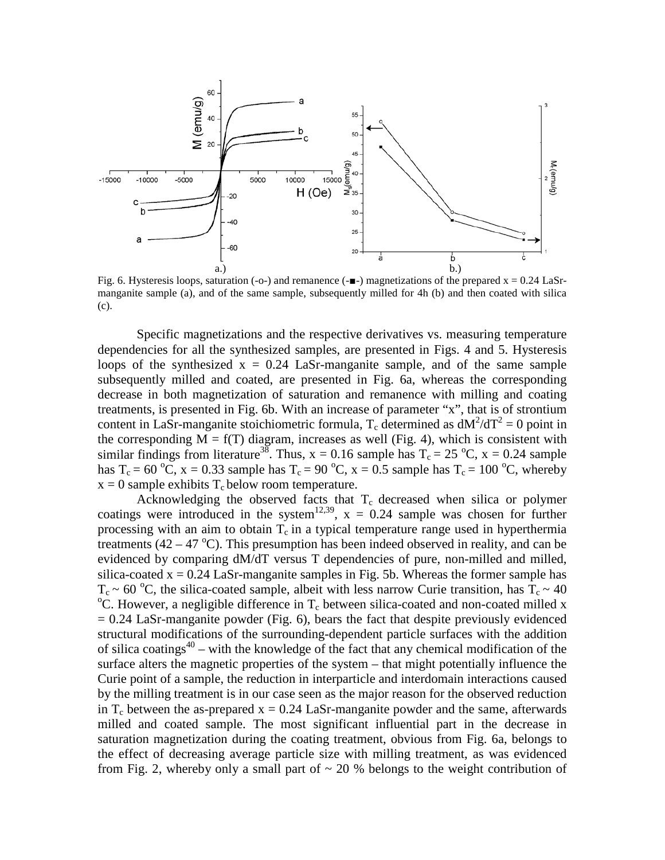

Fig. 6. Hysteresis loops, saturation (-o-) and remanence  $(-\blacksquare)$  magnetizations of the prepared  $x = 0.24$  LaSrmanganite sample (a), and of the same sample, subsequently milled for 4h (b) and then coated with silica (c).

Specific magnetizations and the respective derivatives vs. measuring temperature dependencies for all the synthesized samples, are presented in Figs. 4 and 5. Hysteresis loops of the synthesized  $x = 0.24$  LaSr-manganite sample, and of the same sample subsequently milled and coated, are presented in Fig. 6a, whereas the corresponding decrease in both magnetization of saturation and remanence with milling and coating treatments, is presented in Fig. 6b. With an increase of parameter "x", that is of strontium content in LaSr-manganite stoichiometric formula,  $T_c$  determined as  $dM^2/dT^2 = 0$  point in the corresponding  $\overline{M} = f(T)$  diagram, increases as well (Fig. 4), which is consistent with similar findings from literature<sup>38</sup>. Thus,  $x = 0.16$  sample has  $T_c = 25 °C$ ,  $x = 0.24$  sample has T<sub>c</sub> = 60 °C, x = 0.33 sample has T<sub>c</sub> = 90 °C, x = 0.5 sample has T<sub>c</sub> = 100 °C, whereby  $x = 0$  sample exhibits  $T_c$  below room temperature.

Acknowledging the observed facts that  $T_c$  decreased when silica or polymer coatings were introduced in the system<sup>12,39</sup>,  $x = 0.24$  sample was chosen for further processing with an aim to obtain  $T_c$  in a typical temperature range used in hyperthermia treatments  $(42 - 47 \degree C)$ . This presumption has been indeed observed in reality, and can be evidenced by comparing dM/dT versus T dependencies of pure, non-milled and milled, silica-coated  $x = 0.24$  LaSr-manganite samples in Fig. 5b. Whereas the former sample has  $T_c \sim 60$  °C, the silica-coated sample, albeit with less narrow Curie transition, has  $T_c \sim 40$ <br><sup>o</sup>C, However, a posligible difference in T, between silice coated and non-coated milled x  $\rm{^oC}$ . However, a negligible difference in T<sub>c</sub> between silica-coated and non-coated milled x  $= 0.24$  LaSr-manganite powder (Fig. 6), bears the fact that despite previously evidenced structural modifications of the surrounding-dependent particle surfaces with the addition of silica coatings<sup>40</sup> – with the knowledge of the fact that any chemical modification of the surface alters the magnetic properties of the system – that might potentially influence the Curie point of a sample, the reduction in interparticle and interdomain interactions caused by the milling treatment is in our case seen as the major reason for the observed reduction in  $T_c$  between the as-prepared  $x = 0.24$  LaSr-manganite powder and the same, afterwards milled and coated sample. The most significant influential part in the decrease in saturation magnetization during the coating treatment, obvious from Fig. 6a, belongs to the effect of decreasing average particle size with milling treatment, as was evidenced from Fig. 2, whereby only a small part of  $\sim$  20 % belongs to the weight contribution of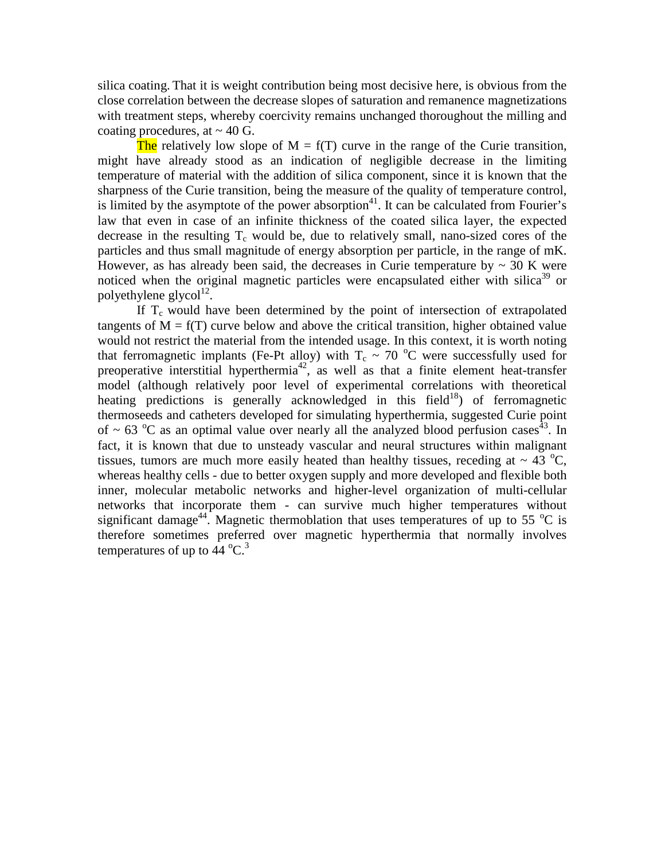silica coating. That it is weight contribution being most decisive here, is obvious from the close correlation between the decrease slopes of saturation and remanence magnetizations with treatment steps, whereby coercivity remains unchanged thoroughout the milling and coating procedures, at  $\sim$  40 G.

The relatively low slope of  $M = f(T)$  curve in the range of the Curie transition, might have already stood as an indication of negligible decrease in the limiting temperature of material with the addition of silica component, since it is known that the sharpness of the Curie transition, being the measure of the quality of temperature control, is limited by the asymptote of the power absorption<sup>41</sup>. It can be calculated from Fourier's law that even in case of an infinite thickness of the coated silica layer, the expected decrease in the resulting  $T_c$  would be, due to relatively small, nano-sized cores of the particles and thus small magnitude of energy absorption per particle, in the range of mK. However, as has already been said, the decreases in Curie temperature by  $\sim 30$  K were noticed when the original magnetic particles were encapsulated either with silica<sup>39</sup> or polyethylene glycol $^{12}$ .

If  $T_c$  would have been determined by the point of intersection of extrapolated tangents of  $M = f(T)$  curve below and above the critical transition, higher obtained value would not restrict the material from the intended usage. In this context, it is worth noting that ferromagnetic implants (Fe-Pt alloy) with  $T_c \sim 70$  °C were successfully used for preoperative interstitial hyperthermia<sup>42</sup>, as well as that a finite element heat-transfer model (although relatively poor level of experimental correlations with theoretical heating predictions is generally acknowledged in this field<sup>18</sup>) of ferromagnetic thermoseeds and catheters developed for simulating hyperthermia, suggested Curie point of  $\sim$  63 °C as an optimal value over nearly all the analyzed blood perfusion cases<sup>43</sup>. In fact, it is known that due to unsteady vascular and neural structures within malignant tissues, tumors are much more easily heated than healthy tissues, receding at  $\sim 43$  °C, whereas healthy cells - due to better oxygen supply and more developed and flexible both inner, molecular metabolic networks and higher-level organization of multi-cellular networks that incorporate them - can survive much higher temperatures without significant damage<sup>44</sup>. Magnetic thermoblation that uses temperatures of up to 55  $^{\circ}$ C is therefore sometimes preferred over magnetic hyperthermia that normally involves temperatures of up to  $44^{\circ}$ C.<sup>3</sup>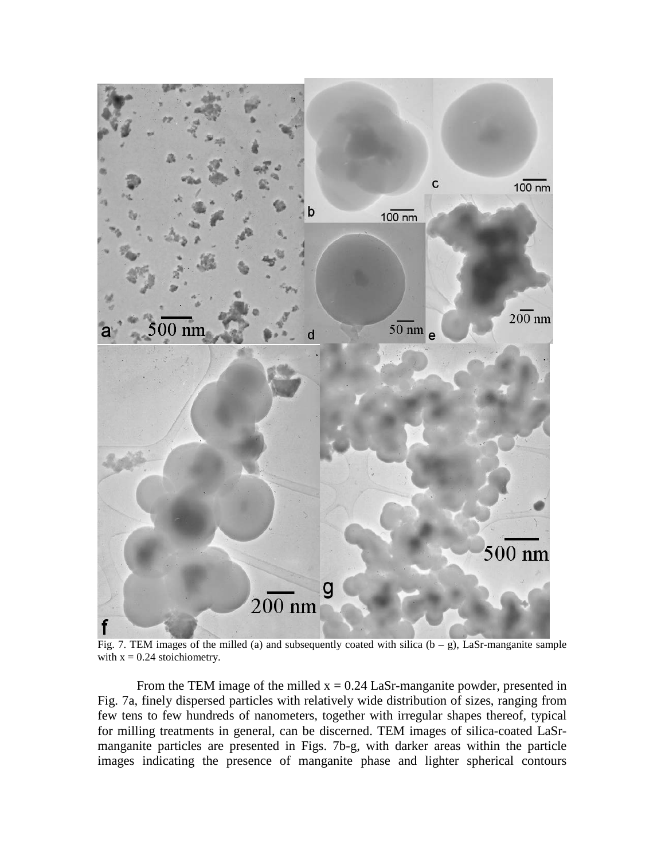

Fig. 7. TEM images of the milled (a) and subsequently coated with silica  $(b - g)$ , LaSr-manganite sample with  $x = 0.24$  stoichiometry.

From the TEM image of the milled  $x = 0.24$  LaSr-manganite powder, presented in Fig. 7a, finely dispersed particles with relatively wide distribution of sizes, ranging from few tens to few hundreds of nanometers, together with irregular shapes thereof, typical for milling treatments in general, can be discerned. TEM images of silica-coated LaSrmanganite particles are presented in Figs. 7b-g, with darker areas within the particle images indicating the presence of manganite phase and lighter spherical contours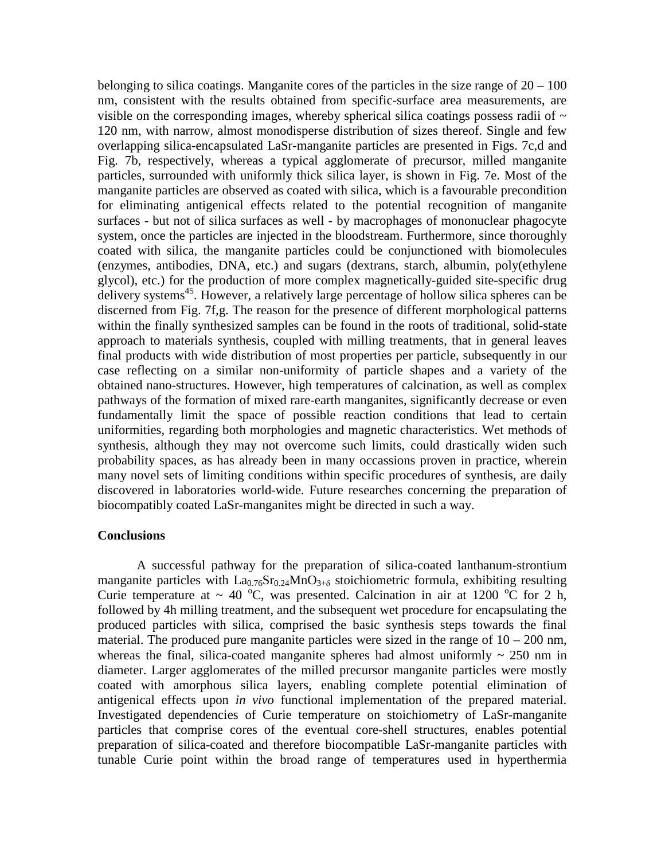belonging to silica coatings. Manganite cores of the particles in the size range of  $20 - 100$ nm, consistent with the results obtained from specific-surface area measurements, are visible on the corresponding images, whereby spherical silica coatings possess radii of  $\sim$ 120 nm, with narrow, almost monodisperse distribution of sizes thereof. Single and few overlapping silica-encapsulated LaSr-manganite particles are presented in Figs. 7c,d and Fig. 7b, respectively, whereas a typical agglomerate of precursor, milled manganite particles, surrounded with uniformly thick silica layer, is shown in Fig. 7e. Most of the manganite particles are observed as coated with silica, which is a favourable precondition for eliminating antigenical effects related to the potential recognition of manganite surfaces - but not of silica surfaces as well - by macrophages of mononuclear phagocyte system, once the particles are injected in the bloodstream. Furthermore, since thoroughly coated with silica, the manganite particles could be conjunctioned with biomolecules (enzymes, antibodies, DNA, etc.) and sugars (dextrans, starch, albumin, poly(ethylene glycol), etc.) for the production of more complex magnetically-guided site-specific drug delivery systems<sup>45</sup>. However, a relatively large percentage of hollow silica spheres can be discerned from Fig. 7f,g. The reason for the presence of different morphological patterns within the finally synthesized samples can be found in the roots of traditional, solid-state approach to materials synthesis, coupled with milling treatments, that in general leaves final products with wide distribution of most properties per particle, subsequently in our case reflecting on a similar non-uniformity of particle shapes and a variety of the obtained nano-structures. However, high temperatures of calcination, as well as complex pathways of the formation of mixed rare-earth manganites, significantly decrease or even fundamentally limit the space of possible reaction conditions that lead to certain uniformities, regarding both morphologies and magnetic characteristics. Wet methods of synthesis, although they may not overcome such limits, could drastically widen such probability spaces, as has already been in many occassions proven in practice, wherein many novel sets of limiting conditions within specific procedures of synthesis, are daily discovered in laboratories world-wide. Future researches concerning the preparation of biocompatibly coated LaSr-manganites might be directed in such a way.

#### **Conclusions**

A successful pathway for the preparation of silica-coated lanthanum-strontium manganite particles with  $La_{0.76}Sr_{0.24}MnO_{3+δ}$  stoichiometric formula, exhibiting resulting Curie temperature at ~ 40 °C, was presented. Calcination in air at 1200 °C for 2 h, followed by 4h milling treatment, and the subsequent wet procedure for encapsulating the produced particles with silica, comprised the basic synthesis steps towards the final material. The produced pure manganite particles were sized in the range of  $10 - 200$  nm, whereas the final, silica-coated manganite spheres had almost uniformly  $\sim 250$  nm in diameter. Larger agglomerates of the milled precursor manganite particles were mostly coated with amorphous silica layers, enabling complete potential elimination of antigenical effects upon *in vivo* functional implementation of the prepared material. Investigated dependencies of Curie temperature on stoichiometry of LaSr-manganite particles that comprise cores of the eventual core-shell structures, enables potential preparation of silica-coated and therefore biocompatible LaSr-manganite particles with tunable Curie point within the broad range of temperatures used in hyperthermia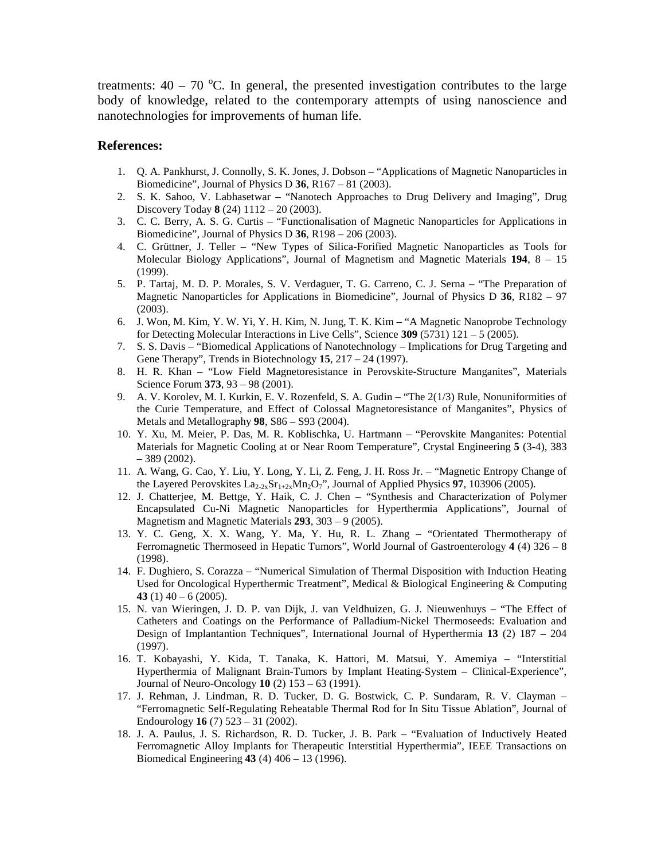treatments:  $40 - 70$  °C. In general, the presented investigation contributes to the large body of knowledge, related to the contemporary attempts of using nanoscience and nanotechnologies for improvements of human life.

#### **References:**

- 1. Q. A. Pankhurst, J. Connolly, S. K. Jones, J. Dobson "Applications of Magnetic Nanoparticles in Biomedicine", Journal of Physics D **36**, R167 – 81 (2003).
- 2. S. K. Sahoo, V. Labhasetwar "Nanotech Approaches to Drug Delivery and Imaging", Drug Discovery Today **8** (24) 1112 – 20 (2003).
- 3. C. C. Berry, A. S. G. Curtis "Functionalisation of Magnetic Nanoparticles for Applications in Biomedicine", Journal of Physics D **36**, R198 – 206 (2003).
- 4. C. Grüttner, J. Teller "New Types of Silica-Forified Magnetic Nanoparticles as Tools for Molecular Biology Applications", Journal of Magnetism and Magnetic Materials **194**, 8 – 15 (1999).
- 5. P. Tartaj, M. D. P. Morales, S. V. Verdaguer, T. G. Carreno, C. J. Serna "The Preparation of Magnetic Nanoparticles for Applications in Biomedicine", Journal of Physics D **36**, R182 – 97 (2003).
- 6. J. Won, M. Kim, Y. W. Yi, Y. H. Kim, N. Jung, T. K. Kim "A Magnetic Nanoprobe Technology for Detecting Molecular Interactions in Live Cells", Science **309** (5731) 121 – 5 (2005).
- 7. S. S. Davis "Biomedical Applications of Nanotechnology Implications for Drug Targeting and Gene Therapy", Trends in Biotechnology **15**, 217 – 24 (1997).
- 8. H. R. Khan "Low Field Magnetoresistance in Perovskite-Structure Manganites", Materials Science Forum **373**, 93 – 98 (2001).
- 9. A. V. Korolev, M. I. Kurkin, E. V. Rozenfeld, S. A. Gudin "The 2(1/3) Rule, Nonuniformities of the Curie Temperature, and Effect of Colossal Magnetoresistance of Manganites", Physics of Metals and Metallography **98**, S86 – S93 (2004).
- 10. Y. Xu, M. Meier, P. Das, M. R. Koblischka, U. Hartmann "Perovskite Manganites: Potential Materials for Magnetic Cooling at or Near Room Temperature", Crystal Engineering **5** (3-4), 383 – 389 (2002).
- 11. A. Wang, G. Cao, Y. Liu, Y. Long, Y. Li, Z. Feng, J. H. Ross Jr. "Magnetic Entropy Change of the Layered Perovskites  $\text{La}_{2-2x}\text{Sr}_{1+2x}\text{Mn}_2\text{O}_7$ ", Journal of Applied Physics **97**, 103906 (2005).
- 12. J. Chatterjee, M. Bettge, Y. Haik, C. J. Chen "Synthesis and Characterization of Polymer Encapsulated Cu-Ni Magnetic Nanoparticles for Hyperthermia Applications", Journal of Magnetism and Magnetic Materials **293**, 303 – 9 (2005).
- 13. Y. C. Geng, X. X. Wang, Y. Ma, Y. Hu, R. L. Zhang "Orientated Thermotherapy of Ferromagnetic Thermoseed in Hepatic Tumors", World Journal of Gastroenterology **4** (4) 326 – 8 (1998).
- 14. F. Dughiero, S. Corazza "Numerical Simulation of Thermal Disposition with Induction Heating Used for Oncological Hyperthermic Treatment", Medical & Biological Engineering & Computing **43** (1) 40 – 6 (2005).
- 15. N. van Wieringen, J. D. P. van Dijk, J. van Veldhuizen, G. J. Nieuwenhuys "The Effect of Catheters and Coatings on the Performance of Palladium-Nickel Thermoseeds: Evaluation and Design of Implantantion Techniques", International Journal of Hyperthermia **13** (2) 187 – 204 (1997).
- 16. T. Kobayashi, Y. Kida, T. Tanaka, K. Hattori, M. Matsui, Y. Amemiya "Interstitial Hyperthermia of Malignant Brain-Tumors by Implant Heating-System – Clinical-Experience", Journal of Neuro-Oncology **10** (2) 153 – 63 (1991).
- 17. J. Rehman, J. Lindman, R. D. Tucker, D. G. Bostwick, C. P. Sundaram, R. V. Clayman "Ferromagnetic Self-Regulating Reheatable Thermal Rod for In Situ Tissue Ablation", Journal of Endourology **16** (7) 523 – 31 (2002).
- 18. J. A. Paulus, J. S. Richardson, R. D. Tucker, J. B. Park "Evaluation of Inductively Heated Ferromagnetic Alloy Implants for Therapeutic Interstitial Hyperthermia", IEEE Transactions on Biomedical Engineering **43** (4) 406 – 13 (1996).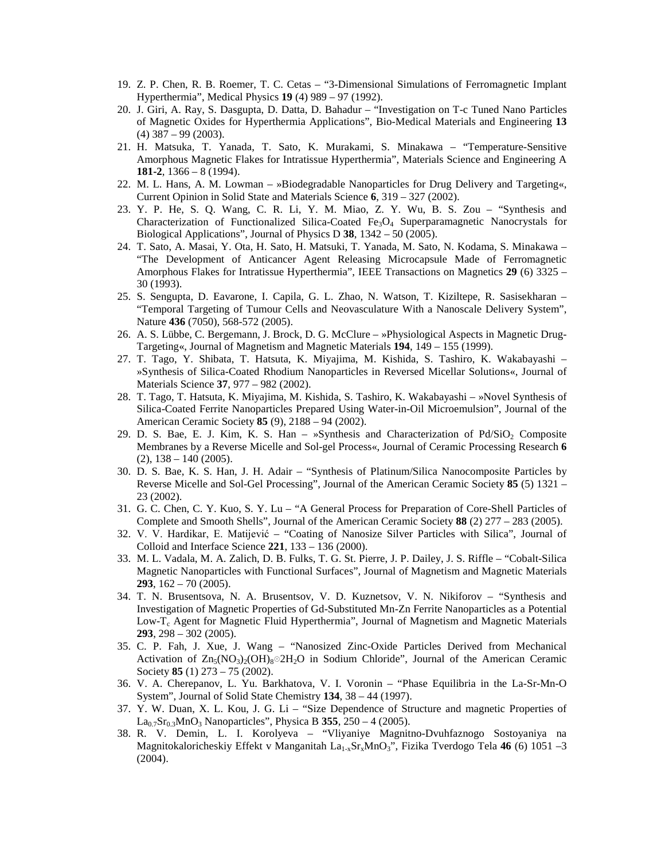- 19. Z. P. Chen, R. B. Roemer, T. C. Cetas "3-Dimensional Simulations of Ferromagnetic Implant Hyperthermia", Medical Physics **19** (4) 989 – 97 (1992).
- 20. J. Giri, A. Ray, S. Dasgupta, D. Datta, D. Bahadur "Investigation on T-c Tuned Nano Particles of Magnetic Oxides for Hyperthermia Applications", Bio-Medical Materials and Engineering **13**  $(4)$  387 – 99 (2003).
- 21. H. Matsuka, T. Yanada, T. Sato, K. Murakami, S. Minakawa "Temperature-Sensitive Amorphous Magnetic Flakes for Intratissue Hyperthermia", Materials Science and Engineering A **181-2**, 1366 – 8 (1994).
- 22. M. L. Hans, A. M. Lowman »Biodegradable Nanoparticles for Drug Delivery and Targeting«, Current Opinion in Solid State and Materials Science **6**, 319 – 327 (2002).
- 23. Y. P. He, S. Q. Wang, C. R. Li, Y. M. Miao, Z. Y. Wu, B. S. Zou "Synthesis and Characterization of Functionalized Silica-Coated  $Fe<sub>3</sub>O<sub>4</sub>$  Superparamagnetic Nanocrystals for Biological Applications", Journal of Physics D **38**, 1342 – 50 (2005).
- 24. T. Sato, A. Masai, Y. Ota, H. Sato, H. Matsuki, T. Yanada, M. Sato, N. Kodama, S. Minakawa "The Development of Anticancer Agent Releasing Microcapsule Made of Ferromagnetic Amorphous Flakes for Intratissue Hyperthermia", IEEE Transactions on Magnetics **29** (6) 3325 – 30 (1993).
- 25. S. Sengupta, D. Eavarone, I. Capila, G. L. Zhao, N. Watson, T. Kiziltepe, R. Sasisekharan "Temporal Targeting of Tumour Cells and Neovasculature With a Nanoscale Delivery System", Nature **436** (7050), 568-572 (2005).
- 26. A. S. Lübbe, C. Bergemann, J. Brock, D. G. McClure »Physiological Aspects in Magnetic Drug-Targeting«, Journal of Magnetism and Magnetic Materials **194**, 149 – 155 (1999).
- 27. T. Tago, Y. Shibata, T. Hatsuta, K. Miyajima, M. Kishida, S. Tashiro, K. Wakabayashi »Synthesis of Silica-Coated Rhodium Nanoparticles in Reversed Micellar Solutions«, Journal of Materials Science **37**, 977 – 982 (2002).
- 28. T. Tago, T. Hatsuta, K. Miyajima, M. Kishida, S. Tashiro, K. Wakabayashi »Novel Synthesis of Silica-Coated Ferrite Nanoparticles Prepared Using Water-in-Oil Microemulsion", Journal of the American Ceramic Society **85** (9), 2188 – 94 (2002).
- 29. D. S. Bae, E. J. Kim, K. S. Han »Synthesis and Characterization of  $Pd/SiO<sub>2</sub>$  Composite Membranes by a Reverse Micelle and Sol-gel Process«, Journal of Ceramic Processing Research **6**  $(2)$ ,  $138 - 140 (2005)$ .
- 30. D. S. Bae, K. S. Han, J. H. Adair "Synthesis of Platinum/Silica Nanocomposite Particles by Reverse Micelle and Sol-Gel Processing", Journal of the American Ceramic Society **85** (5) 1321 – 23 (2002).
- 31. G. C. Chen, C. Y. Kuo, S. Y. Lu "A General Process for Preparation of Core-Shell Particles of Complete and Smooth Shells", Journal of the American Ceramic Society **88** (2) 277 – 283 (2005).
- 32. V. V. Hardikar, E. Matijević "Coating of Nanosize Silver Particles with Silica", Journal of Colloid and Interface Science **221**, 133 – 136 (2000).
- 33. M. L. Vadala, M. A. Zalich, D. B. Fulks, T. G. St. Pierre, J. P. Dailey, J. S. Riffle "Cobalt-Silica Magnetic Nanoparticles with Functional Surfaces", Journal of Magnetism and Magnetic Materials **293**, 162 – 70 (2005).
- 34. T. N. Brusentsova, N. A. Brusentsov, V. D. Kuznetsov, V. N. Nikiforov "Synthesis and Investigation of Magnetic Properties of Gd-Substituted Mn-Zn Ferrite Nanoparticles as a Potential Low-T<sub>c</sub> Agent for Magnetic Fluid Hyperthermia", Journal of Magnetism and Magnetic Materials **293**, 298 – 302 (2005).
- 35. C. P. Fah, J. Xue, J. Wang "Nanosized Zinc-Oxide Particles Derived from Mechanical Activation of  $Z_{n5}(NO_3)_{2}(OH)_{8}$ <sup>o</sup> 2H<sub>2</sub>O in Sodium Chloride", Journal of the American Ceramic Society **85** (1) 273 – 75 (2002).
- 36. V. A. Cherepanov, L. Yu. Barkhatova, V. I. Voronin "Phase Equilibria in the La-Sr-Mn-O System", Journal of Solid State Chemistry **134**, 38 – 44 (1997).
- 37. Y. W. Duan, X. L. Kou, J. G. Li "Size Dependence of Structure and magnetic Properties of  $La_{0.7}Sr_{0.3}MnO_3$  Nanoparticles", Physica B 355, 250 – 4 (2005).
- 38. R. V. Demin, L. I. Korolyeva "Vliyaniye Magnitno-Dvuhfaznogo Sostoyaniya na Magnitokaloricheskiy Effekt v Manganitah La<sub>1-x</sub>Sr<sub>x</sub>MnO<sub>3</sub>", Fizika Tverdogo Tela 46 (6) 1051 -3 (2004).